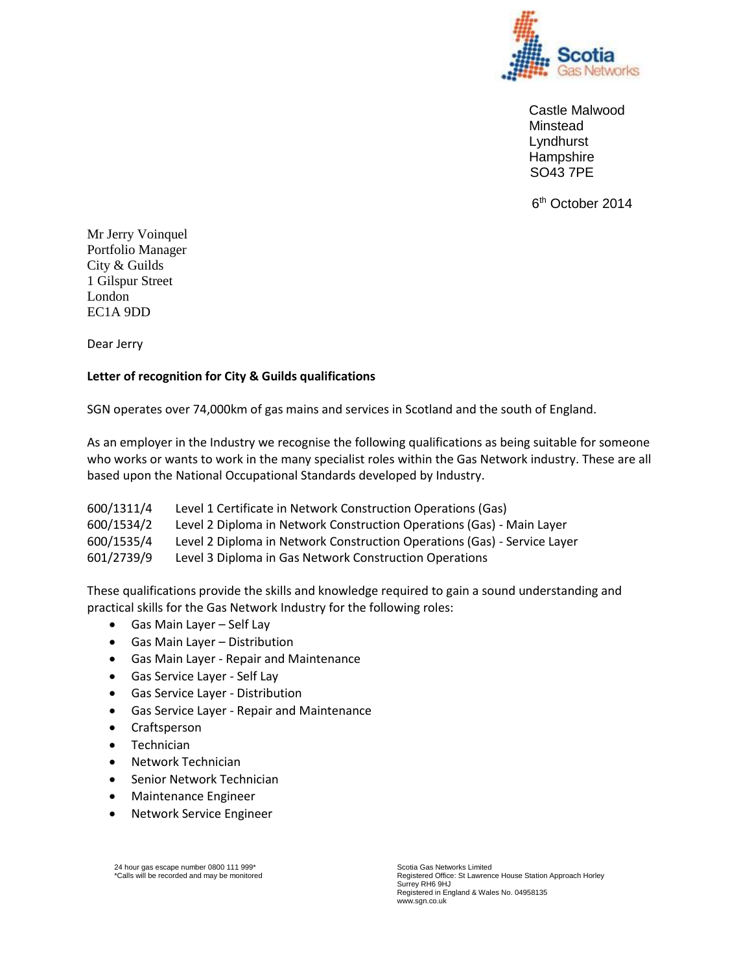

Castle Malwood Minstead Lyndhurst **Hampshire** SO43 7PE

6<sup>th</sup> October 2014

Mr Jerry Voinquel Portfolio Manager City & Guilds 1 Gilspur Street London EC1A 9DD

Dear Jerry

## **Letter of recognition for City & Guilds qualifications**

SGN operates over 74,000km of gas mains and services in Scotland and the south of England.

As an employer in the Industry we recognise the following qualifications as being suitable for someone who works or wants to work in the many specialist roles within the Gas Network industry. These are all based upon the National Occupational Standards developed by Industry.

| 600/1311/4 | Level 1 Certificate in Network Construction Operations (Gas)             |
|------------|--------------------------------------------------------------------------|
| 600/1534/2 | Level 2 Diploma in Network Construction Operations (Gas) - Main Layer    |
| 600/1535/4 | Level 2 Diploma in Network Construction Operations (Gas) - Service Layer |
| 601/2739/9 | Level 3 Diploma in Gas Network Construction Operations                   |

These qualifications provide the skills and knowledge required to gain a sound understanding and practical skills for the Gas Network Industry for the following roles:

- Gas Main Layer Self Lay
- Gas Main Layer Distribution
- Gas Main Layer Repair and Maintenance
- Gas Service Layer Self Lay
- Gas Service Layer Distribution
- Gas Service Layer Repair and Maintenance
- Craftsperson
- Technician
- Network Technician
- **•** Senior Network Technician
- Maintenance Engineer
- Network Service Engineer

<sup>24</sup> hour gas escape number 0800 111 999\* \*Calls will be recorded and may be monitored